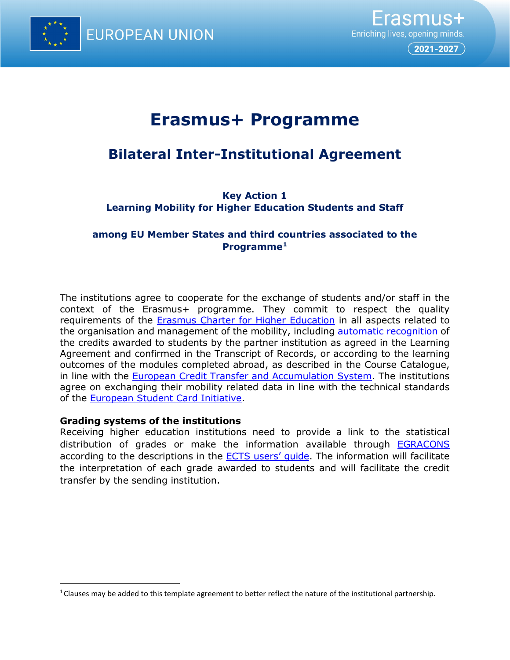

 $($  2021-2027  $)$ 

# **Erasmus+ Programme**

## **Bilateral Inter-Institutional Agreement**

**Key Action 1 Learning Mobility for Higher Education Students and Staff**

## **among EU Member States and third countries associated to the Programme[1](#page-0-0)**

The institutions agree to cooperate for the exchange of students and/or staff in the context of the Erasmus+ programme. They commit to respect the quality requirements of the [Erasmus Charter for Higher Education](https://ec.europa.eu/programmes/erasmus-plus/resources/documents/applicants/higher-education-charter_en) in all aspects related to the organisation and management of the mobility, including [automatic recognition](https://ec.europa.eu/education/node/36_me) of the credits awarded to students by the partner institution as agreed in the Learning Agreement and confirmed in the Transcript of Records, or according to the learning outcomes of the modules completed abroad, as described in the Course Catalogue, in line with the [European Credit Transfer and Accumulation System.](https://ec.europa.eu/education/resources-and-tools/european-credit-transfer-and-accumulation-system-ects_en) The institutions agree on exchanging their mobility related data in line with the technical standards of the [European Student Card Initiative.](https://ec.europa.eu/education/education-in-the-eu/european-student-card-initiative_en)

#### **Grading systems of the institutions**

Receiving higher education institutions need to provide a link to the statistical distribution of grades or make the information available through [EGRACONS](http://egracons.eu/) according to the descriptions in the **ECTS** users' quide. The information will facilitate the interpretation of each grade awarded to students and will facilitate the credit transfer by the sending institution.

<span id="page-0-0"></span><sup>&</sup>lt;sup>1</sup> Clauses may be added to this template agreement to better reflect the nature of the institutional partnership.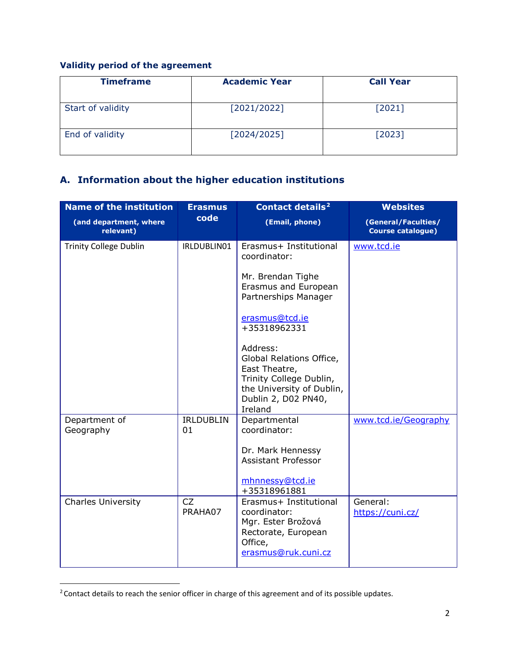#### **Validity period of the agreement**

| <b>Timeframe</b>  | <b>Academic Year</b> | <b>Call Year</b> |
|-------------------|----------------------|------------------|
| Start of validity | [2021/2022]          | [2021]           |
| End of validity   | [2024/2025]          | [2023]           |

## **A. Information about the higher education institutions**

| <b>Name of the institution</b>      | <b>Erasmus</b>         | <b>Contact details<sup>2</sup></b>                                                                                                              | <b>Websites</b>                                 |
|-------------------------------------|------------------------|-------------------------------------------------------------------------------------------------------------------------------------------------|-------------------------------------------------|
| (and department, where<br>relevant) | code                   | (Email, phone)                                                                                                                                  | (General/Faculties/<br><b>Course catalogue)</b> |
| <b>Trinity College Dublin</b>       | IRLDUBLIN01            | Erasmus+ Institutional<br>coordinator:                                                                                                          | www.tcd.ie                                      |
|                                     |                        | Mr. Brendan Tighe<br>Erasmus and European<br>Partnerships Manager                                                                               |                                                 |
|                                     |                        | erasmus@tcd.ie<br>+35318962331                                                                                                                  |                                                 |
|                                     |                        | Address:<br>Global Relations Office,<br>East Theatre,<br>Trinity College Dublin,<br>the University of Dublin,<br>Dublin 2, D02 PN40,<br>Ireland |                                                 |
| Department of<br>Geography          | <b>IRLDUBLIN</b><br>01 | Departmental<br>coordinator:                                                                                                                    | www.tcd.ie/Geography                            |
|                                     |                        | Dr. Mark Hennessy<br><b>Assistant Professor</b><br>mhnnessy@tcd.ie<br>+35318961881                                                              |                                                 |
| <b>Charles University</b>           | CZ<br>PRAHA07          | Erasmus+ Institutional<br>coordinator:<br>Mgr. Ester Brožová<br>Rectorate, European<br>Office,<br>erasmus@ruk.cuni.cz                           | General:<br>https://cuni.cz/                    |

<span id="page-1-0"></span><sup>2</sup> Contact details to reach the senior officer in charge of this agreement and of its possible updates.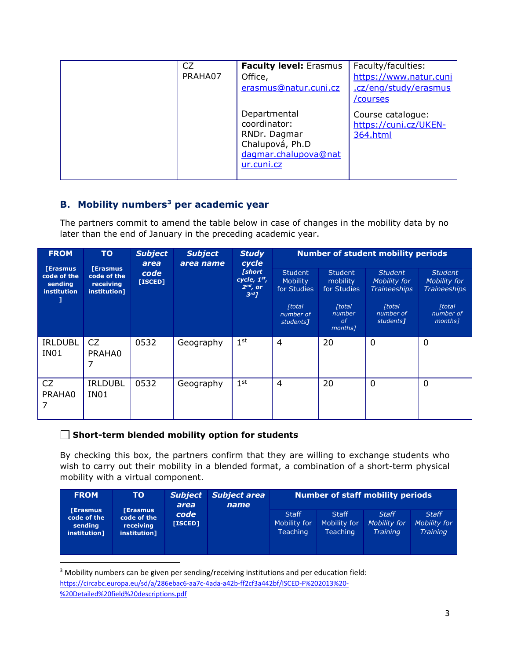| CZ<br>PRAHA07 | <b>Faculty level: Erasmus</b><br>Office,<br>erasmus@natur.cuni.cz                                     | Faculty/faculties:<br>https://www.natur.cuni<br>.cz/eng/study/erasmus<br>/courses |
|---------------|-------------------------------------------------------------------------------------------------------|-----------------------------------------------------------------------------------|
|               | Departmental<br>coordinator:<br>RNDr. Dagmar<br>Chalupová, Ph.D<br>dagmar.chalupova@nat<br>ur.cuni.cz | Course catalogue:<br>https://cuni.cz/UKEN-<br>364.html                            |

## **B. Mobility numbers[3](#page-2-0) per academic year**

The partners commit to amend the table below in case of changes in the mobility data by no later than the end of January in the preceding academic year.

| <b>FROM</b>                                              | <b>TO</b><br><b>Subject</b><br>area                         | <b>Subject</b><br><b>Study</b><br>cycle<br>area name |           | <b>Number of student mobility periods</b>                           |                                                  |                                                              |                                                       |                                                       |
|----------------------------------------------------------|-------------------------------------------------------------|------------------------------------------------------|-----------|---------------------------------------------------------------------|--------------------------------------------------|--------------------------------------------------------------|-------------------------------------------------------|-------------------------------------------------------|
| <b>[Erasmus</b><br>code of the<br>sending<br>institution | <b>[Erasmus</b><br>code of the<br>receiving<br>institution] | code<br>[ISCED]                                      |           | <i>[short</i><br>cycle, $1st$ ,<br>$2^{nd}$ , or<br>3 <sup>rd</sup> | <b>Student</b><br><b>Mobility</b><br>for Studies | <b>Student</b><br>mobility<br>for Studies                    | <b>Student</b><br>Mobility for<br><b>Traineeships</b> | <b>Student</b><br>Mobility for<br><b>Traineeships</b> |
|                                                          |                                                             |                                                      |           |                                                                     | <b>[total</b><br>number of<br>students]          | <b>[total</b><br>number<br>$\sigma$ f<br>months <sub>1</sub> | <b>[total]</b><br>number of<br>students <sub>1</sub>  | <b>[total</b><br>number of<br>months]                 |
| <b>IRLDUBL</b><br>IN <sub>01</sub>                       | CZ<br>PRAHA0<br>7                                           | 0532                                                 | Geography | 1 <sup>st</sup>                                                     | $\overline{4}$                                   | 20                                                           | $\mathbf 0$                                           | 0                                                     |
| CZ<br>PRAHA0                                             | <b>IRLDUBL</b><br>IN <sub>01</sub>                          | 0532                                                 | Geography | 1 <sup>st</sup>                                                     | $\overline{4}$                                   | 20                                                           | 0                                                     | 0                                                     |

#### **Short-term blended mobility option for students**

By checking this box, the partners confirm that they are willing to exchange students who wish to carry out their mobility in a blended format, a combination of a short-term physical mobility with a virtual component.

| <b>FROM</b>                                              | TO:                                                        | <b>Subject</b><br>area |  | <b>Subject area</b><br>name                     | Number of staff mobility periods                |                                                 |                                                 |  |
|----------------------------------------------------------|------------------------------------------------------------|------------------------|--|-------------------------------------------------|-------------------------------------------------|-------------------------------------------------|-------------------------------------------------|--|
| <b>Erasmus</b><br>code of the<br>sending<br>institution] | <b>Erasmus</b><br>code of the<br>receiving<br>institution] | code<br>[ISCED]        |  | <b>Staff</b><br>Mobility for<br><b>Teaching</b> | <b>Staff</b><br>Mobility for<br><b>Teaching</b> | <b>Staff</b><br>Mobility for<br><b>Training</b> | <b>Staff</b><br>Mobility for<br><b>Training</b> |  |

<span id="page-2-0"></span> 3 Mobility numbers can be given per sending/receiving institutions and per education field: [https://circabc.europa.eu/sd/a/286ebac6-aa7c-4ada-a42b-ff2cf3a442bf/ISCED-F%202013%20-](https://circabc.europa.eu/sd/a/286ebac6-aa7c-4ada-a42b-ff2cf3a442bf/ISCED-F%202013%20-%20Detailed%20field%20descriptions.pdf) [%20Detailed%20field%20descriptions.pdf](https://circabc.europa.eu/sd/a/286ebac6-aa7c-4ada-a42b-ff2cf3a442bf/ISCED-F%202013%20-%20Detailed%20field%20descriptions.pdf)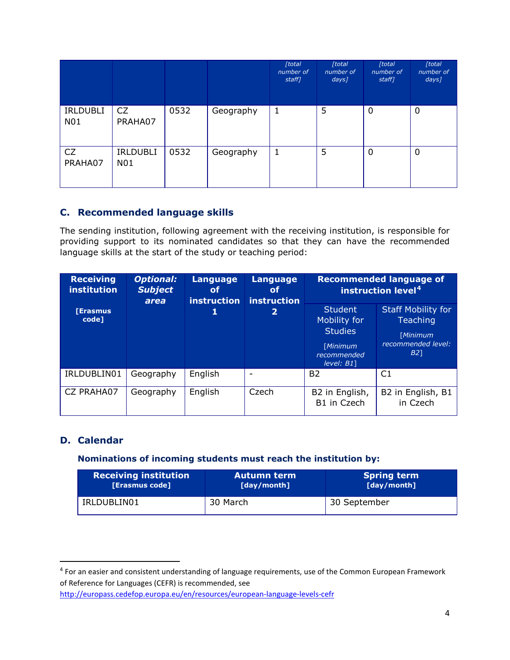|                        |                               |      |           | [total<br>number of<br>staff] | [total]<br>number of<br>$days$ ] | [total]<br>number of<br>staff] | [total]<br>number of<br>$days$ ] |
|------------------------|-------------------------------|------|-----------|-------------------------------|----------------------------------|--------------------------------|----------------------------------|
| <b>IRLDUBLI</b><br>N01 | CZ<br>PRAHA07                 | 0532 | Geography | 1                             | 5                                | 0                              | 0                                |
| CZ<br>PRAHA07          | <b>IRLDUBLI</b><br><b>N01</b> | 0532 | Geography | 1                             | 5                                | $\mathbf 0$                    | 0                                |

## **C. Recommended language skills**

The sending institution, following agreement with the receiving institution, is responsible for providing support to its nominated candidates so that they can have the recommended language skills at the start of the study or teaching period:

| <b>Receiving</b><br><b>institution</b> | <b>Optional:</b><br><b>Subject</b><br>area | Language<br>of<br><b>instruction</b><br>1 | <b>Language</b><br>of<br>instruction<br>2 | <b>Recommended language of</b><br>instruction level <sup>4</sup>                             |                                                                                       |  |
|----------------------------------------|--------------------------------------------|-------------------------------------------|-------------------------------------------|----------------------------------------------------------------------------------------------|---------------------------------------------------------------------------------------|--|
| <b>[Erasmus</b><br>code]               |                                            |                                           |                                           | <b>Student</b><br>Mobility for<br><b>Studies</b><br>[Minimum<br>recommended<br>$level: B1$ ] | <b>Staff Mobility for</b><br><b>Teaching</b><br>[Minimum<br>recommended level:<br>B21 |  |
| IRLDUBLIN01                            | Geography                                  | English                                   |                                           | B <sub>2</sub>                                                                               | C1                                                                                    |  |
| CZ PRAHA07                             | Geography                                  | English                                   | Czech                                     | B2 in English,<br>B1 in Czech                                                                | B2 in English, B1<br>in Czech                                                         |  |

#### **D. Calendar**

#### **Nominations of incoming students must reach the institution by:**

| <b>Receiving institution</b> | 'Autumn term | <b>Spring term</b> |
|------------------------------|--------------|--------------------|
| [Erasmus code]               | [day/month]  | [day/month]        |
| IRLDUBLIN01                  | 30 March     | 30 September       |

<span id="page-3-0"></span><sup>&</sup>lt;sup>4</sup> For an easier and consistent understanding of language requirements, use of the Common European Framework of Reference for Languages (CEFR) is recommended, see

<http://europass.cedefop.europa.eu/en/resources/european-language-levels-cefr>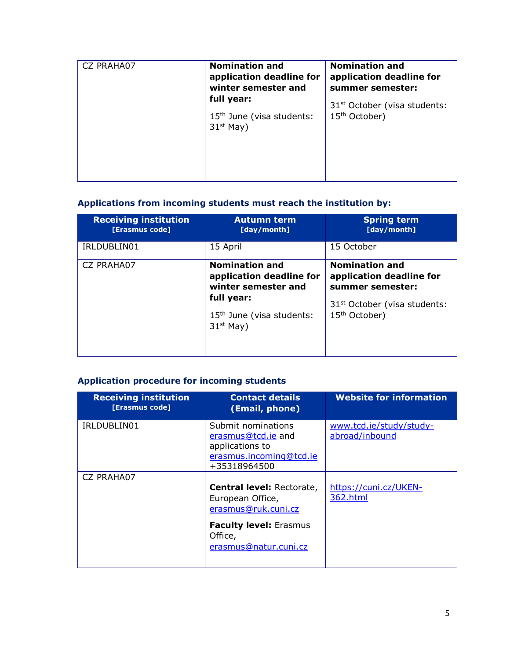| CZ PRAHA07 | <b>Nomination and</b><br>application deadline for<br>winter semester and | <b>Nomination and</b><br>application deadline for<br>summer semester: |
|------------|--------------------------------------------------------------------------|-----------------------------------------------------------------------|
|            | full year:                                                               | 31 <sup>st</sup> October (visa students:                              |
|            | 15 <sup>th</sup> June (visa students:<br>$31st$ May)                     | 15 <sup>th</sup> October)                                             |
|            |                                                                          |                                                                       |

## **Applications from incoming students must reach the institution by:**

| <b>Receiving institution</b><br>[Erasmus code] | <b>Autumn term</b><br>[day/month]                                                                                                              | <b>Spring term</b><br>[day/month]                                                                                                              |
|------------------------------------------------|------------------------------------------------------------------------------------------------------------------------------------------------|------------------------------------------------------------------------------------------------------------------------------------------------|
| IRLDUBLIN01                                    | 15 April                                                                                                                                       | 15 October                                                                                                                                     |
| <b>CZ PRAHA07</b>                              | <b>Nomination and</b><br>application deadline for<br>winter semester and<br>full year:<br>15 <sup>th</sup> June (visa students:<br>$31st$ May) | <b>Nomination and</b><br>application deadline for<br>summer semester:<br>31 <sup>st</sup> October (visa students:<br>15 <sup>th</sup> October) |
|                                                |                                                                                                                                                |                                                                                                                                                |

## **Application procedure for incoming students**

| <b>Receiving institution</b><br>[Erasmus code] | <b>Contact details</b><br>(Email, phone)                                                               | <b>Website for information</b>            |
|------------------------------------------------|--------------------------------------------------------------------------------------------------------|-------------------------------------------|
| IRLDUBLIN01                                    | Submit nominations<br>erasmus@tcd.ie and<br>applications to<br>erasmus.incoming@tcd.ie<br>+35318964500 | www.tcd.ie/study/study-<br>abroad/inbound |
| <b>CZ PRAHA07</b>                              | <b>Central level: Rectorate,</b><br>European Office,<br>erasmus@ruk.cuni.cz                            | https://cuni.cz/UKEN-<br>362.html         |
|                                                | <b>Faculty level: Erasmus</b><br>Office,<br>erasmus@natur.cuni.cz                                      |                                           |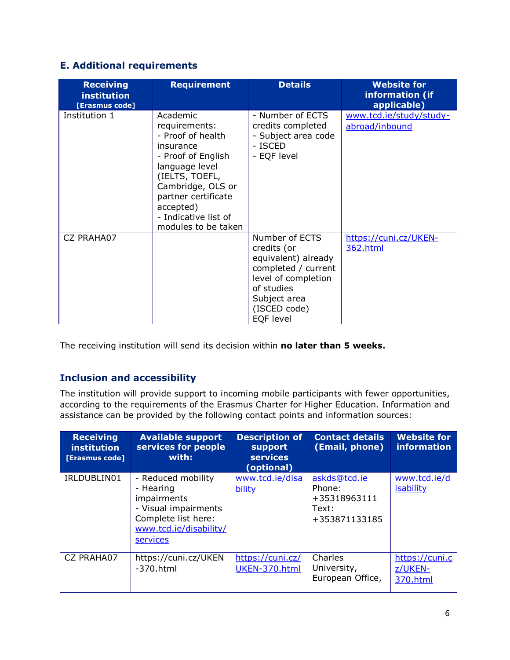## **E. Additional requirements**

| <b>Receiving</b><br>institution<br>[Erasmus code] | <b>Requirement</b>                                                                                                                                                                                                            | <b>Details</b>                                                                                                                                                | <b>Website for</b><br>information (if<br>applicable) |
|---------------------------------------------------|-------------------------------------------------------------------------------------------------------------------------------------------------------------------------------------------------------------------------------|---------------------------------------------------------------------------------------------------------------------------------------------------------------|------------------------------------------------------|
| Institution 1                                     | Academic<br>requirements:<br>- Proof of health<br>insurance<br>- Proof of English<br>language level<br>(IELTS, TOEFL,<br>Cambridge, OLS or<br>partner certificate<br>accepted)<br>- Indicative list of<br>modules to be taken | - Number of ECTS<br>credits completed<br>- Subject area code<br>- ISCED<br>- EQF level                                                                        | www.tcd.ie/study/study-<br>abroad/inbound            |
| <b>CZ PRAHA07</b>                                 |                                                                                                                                                                                                                               | Number of ECTS<br>credits (or<br>equivalent) already<br>completed / current<br>level of completion<br>of studies<br>Subject area<br>(ISCED code)<br>EQF level | https://cuni.cz/UKEN-<br>362.html                    |

The receiving institution will send its decision within **no later than 5 weeks.**

## **Inclusion and accessibility**

The institution will provide support to incoming mobile participants with fewer opportunities, according to the requirements of the Erasmus Charter for Higher Education. Information and assistance can be provided by the following contact points and information sources:

| <b>Receiving</b><br><i>institution</i><br>[Erasmus code] | <b>Available support</b><br>services for people<br>with:                                                                            | <b>Description of</b><br>support<br><b>services</b><br>(optional) | <b>Contact details</b><br>(Email, phone)                         | <b>Website for</b><br><b>information</b> |
|----------------------------------------------------------|-------------------------------------------------------------------------------------------------------------------------------------|-------------------------------------------------------------------|------------------------------------------------------------------|------------------------------------------|
| IRLDUBLIN01                                              | - Reduced mobility<br>- Hearing<br>impairments<br>- Visual impairments<br>Complete list here:<br>www.tcd.ie/disability/<br>services | www.tcd.ie/disa<br>bility                                         | askds@tcd.ie<br>Phone:<br>+35318963111<br>Text:<br>+353871133185 | www.tcd.ie/d<br><b>isability</b>         |
| CZ PRAHA07                                               | https://cuni.cz/UKEN<br>$-370.html$                                                                                                 | https://cuni.cz/<br>UKEN-370.html                                 | Charles<br>University,<br>European Office,                       | https://cuni.c<br>z/UKEN-<br>370.html    |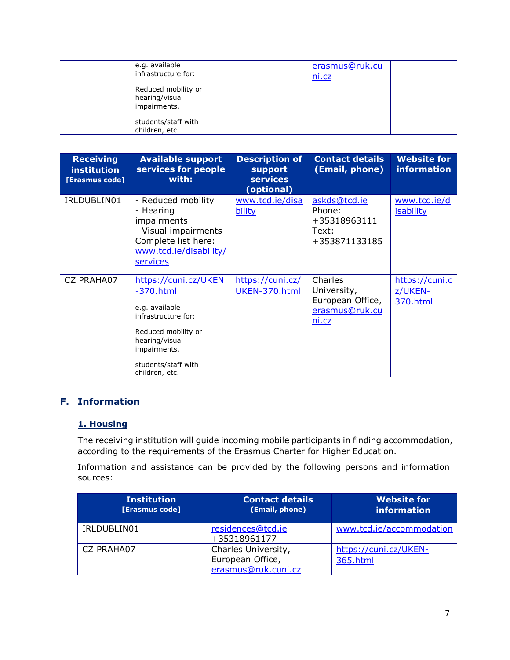| e.g. available<br>infrastructure for:                 | erasmus@ruk.cu<br><u>ni.cz</u> |  |
|-------------------------------------------------------|--------------------------------|--|
| Reduced mobility or<br>hearing/visual<br>impairments, |                                |  |
| students/staff with<br>children, etc.                 |                                |  |

| <b>Receiving</b><br>institution<br>[Erasmus code] | <b>Available support</b><br>services for people<br>with:                                                                                                                       | <b>Description of</b><br><b>support</b><br><b>services</b><br>(optional) | <b>Contact details</b><br>(Email, phone)                              | <b>Website for</b><br><b>information</b> |
|---------------------------------------------------|--------------------------------------------------------------------------------------------------------------------------------------------------------------------------------|--------------------------------------------------------------------------|-----------------------------------------------------------------------|------------------------------------------|
| IRLDUBLIN01                                       | - Reduced mobility<br>- Hearing<br>impairments<br>- Visual impairments<br>Complete list here:<br>www.tcd.ie/disability/<br><u>services</u>                                     | www.tcd.ie/disa<br>bility                                                | askds@tcd.ie<br>Phone:<br>+35318963111<br>Text:<br>+353871133185      | www.tcd.ie/d<br><b>isability</b>         |
| CZ PRAHA07                                        | https://cuni.cz/UKEN<br>$-370.html$<br>e.g. available<br>infrastructure for:<br>Reduced mobility or<br>hearing/visual<br>impairments,<br>students/staff with<br>children, etc. | https://cuni.cz/<br>UKEN-370.html                                        | Charles<br>University,<br>European Office,<br>erasmus@ruk.cu<br>ni.cz | https://cuni.c<br>z/UKEN-<br>370.html    |

## **F. Information**

#### **1. Housing**

The receiving institution will guide incoming mobile participants in finding accommodation, according to the requirements of the Erasmus Charter for Higher Education.

Information and assistance can be provided by the following persons and information sources:

| <b>Institution</b><br><b>[Erasmus code]</b> | <b>Contact details</b><br>(Email, phone)                       | <b>Website for</b><br><b>information</b> |
|---------------------------------------------|----------------------------------------------------------------|------------------------------------------|
| IRLDUBLIN01                                 | residences@tcd.ie<br>+35318961177                              | www.tcd.ie/accommodation                 |
| CZ PRAHA07                                  | Charles University,<br>European Office,<br>erasmus@ruk.cuni.cz | https://cuni.cz/UKEN-<br>365.html        |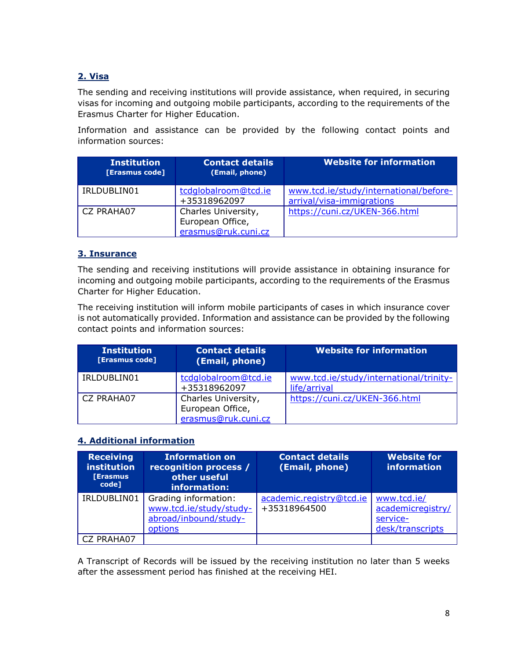## **2. Visa**

The sending and receiving institutions will provide assistance, when required, in securing visas for incoming and outgoing mobile participants, according to the requirements of the Erasmus Charter for Higher Education.

Information and assistance can be provided by the following contact points and information sources:

| <b>Institution</b><br>[Erasmus code] | <b>Contact details</b><br>(Email, phone)                       | <b>Website for information</b>                                      |
|--------------------------------------|----------------------------------------------------------------|---------------------------------------------------------------------|
| IRLDUBLIN01                          | tcdglobalroom@tcd.ie<br>+35318962097                           | www.tcd.ie/study/international/before-<br>arrival/visa-immigrations |
| CZ PRAHA07                           | Charles University,<br>European Office,<br>erasmus@ruk.cuni.cz | https://cuni.cz/UKEN-366.html                                       |

#### **3. Insurance**

The sending and receiving institutions will provide assistance in obtaining insurance for incoming and outgoing mobile participants, according to the requirements of the Erasmus Charter for Higher Education.

The receiving institution will inform mobile participants of cases in which insurance cover is not automatically provided. Information and assistance can be provided by the following contact points and information sources:

| <b>Institution</b><br>[Erasmus code] | <b>Contact details</b><br>(Email, phone)                       | <b>Website for information</b>                          |
|--------------------------------------|----------------------------------------------------------------|---------------------------------------------------------|
| IRLDUBLIN01                          | tcdglobalroom@tcd.ie<br>+35318962097                           | www.tcd.ie/study/international/trinity-<br>life/arrival |
| CZ PRAHA07                           | Charles University,<br>European Office,<br>erasmus@ruk.cuni.cz | https://cuni.cz/UKEN-366.html                           |

#### **4. Additional information**

| <b>Receiving</b><br>institution<br><b>[Erasmus</b><br>code] | <b>Information on</b><br>recognition process /<br>other useful<br>information:      | <b>Contact details</b><br>(Email, phone) | <b>Website for</b><br>information                                |
|-------------------------------------------------------------|-------------------------------------------------------------------------------------|------------------------------------------|------------------------------------------------------------------|
| IRLDUBLIN01                                                 | Grading information:<br>www.tcd.ie/study/study-<br>abroad/inbound/study-<br>options | academic.registry@tcd.ie<br>+35318964500 | www.tcd.ie/<br>academicregistry/<br>service-<br>desk/transcripts |
| CZ PRAHA07                                                  |                                                                                     |                                          |                                                                  |

A Transcript of Records will be issued by the receiving institution no later than 5 weeks after the assessment period has finished at the receiving HEI.